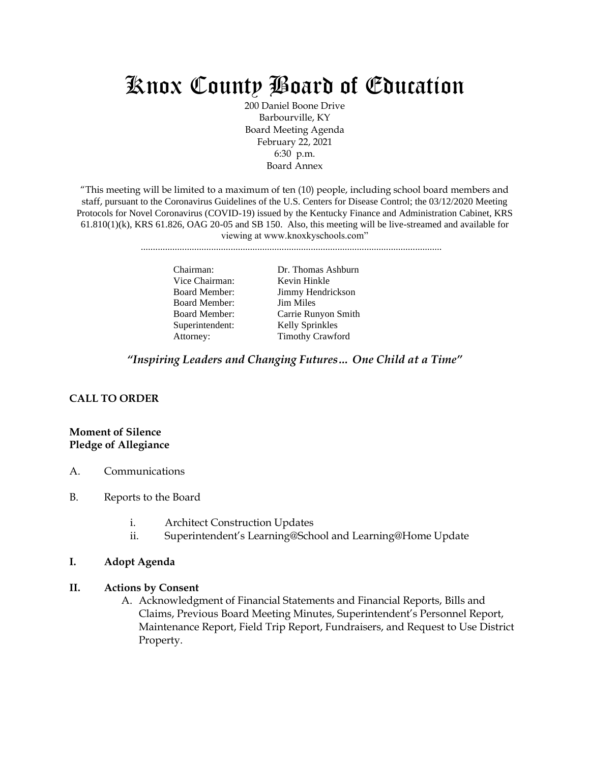# Knox County Board of Education

200 Daniel Boone Drive Barbourville, KY Board Meeting Agenda February 22, 2021 6:30 p.m. Board Annex

"This meeting will be limited to a maximum of ten (10) people, including school board members and staff, pursuant to the Coronavirus Guidelines of the U.S. Centers for Disease Control; the 03/12/2020 Meeting Protocols for Novel Coronavirus (COVID-19) issued by the Kentucky Finance and Administration Cabinet, KRS  $61.810(1)(k)$ , KRS  $61.826$ , OAG  $20-05$  and SB 150. Also, this meeting will be live-streamed and available for viewing at www.knoxkyschools.com"

............................................................................................................................

Vice Chairman: Kevin Hinkle Board Member: Jim Miles Superintendent: Kelly Sprinkles

Chairman: Dr. Thomas Ashburn Board Member: Jimmy Hendrickson Board Member: Carrie Runyon Smith Attorney: Timothy Crawford

*"Inspiring Leaders and Changing Futures… One Child at a Time"*

# **CALL TO ORDER**

### **Moment of Silence Pledge of Allegiance**

- A. Communications
- B. Reports to the Board
	- i. Architect Construction Updates
	- ii. Superintendent's Learning@School and Learning@Home Update

#### **I. Adopt Agenda**

#### **II. Actions by Consent**

A. Acknowledgment of Financial Statements and Financial Reports, Bills and Claims, Previous Board Meeting Minutes, Superintendent's Personnel Report, Maintenance Report, Field Trip Report, Fundraisers, and Request to Use District Property.